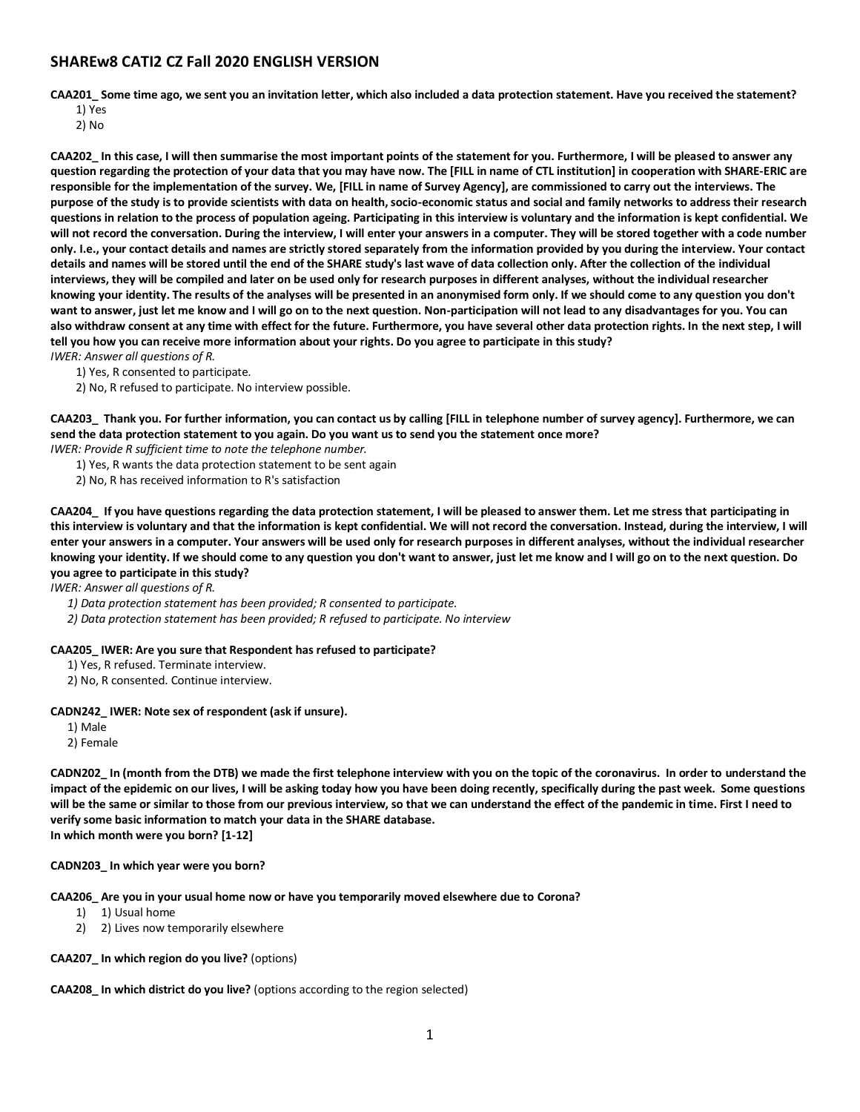# **SHAREw8 CATI2 CZ Fall 2020 ENGLISH VERSION**

**CAA201\_ Some time ago, we sent you an invitation letter, which also included a data protection statement. Have you received the statement?**

1) Yes

2) No

**CAA202\_ In this case, I will then summarise the most important points of the statement for you. Furthermore, I will be pleased to answer any question regarding the protection of your data that you may have now. The [FILL in name of CTL institution] in cooperation with SHARE-ERIC are responsible for the implementation of the survey. We, [FILL in name of Survey Agency], are commissioned to carry out the interviews. The purpose of the study is to provide scientists with data on health, socio-economic status and social and family networks to address their research questions in relation to the process of population ageing. Participating in this interview is voluntary and the information is kept confidential. We will not record the conversation. During the interview, I will enter your answers in a computer. They will be stored together with a code number only. I.e., your contact details and names are strictly stored separately from the information provided by you during the interview. Your contact details and names will be stored until the end of the SHARE study's last wave of data collection only. After the collection of the individual interviews, they will be compiled and later on be used only for research purposes in different analyses, without the individual researcher knowing your identity. The results of the analyses will be presented in an anonymised form only. If we should come to any question you don't want to answer, just let me know and I will go on to the next question. Non-participation will not lead to any disadvantages for you. You can also withdraw consent at any time with effect for the future. Furthermore, you have several other data protection rights. In the next step, I will tell you how you can receive more information about your rights. Do you agree to participate in this study?**

- *IWER: Answer all questions of R.*
	- 1) Yes, R consented to participate.
	- 2) No, R refused to participate. No interview possible.

**CAA203\_ Thank you. For further information, you can contact us by calling [FILL in telephone number of survey agency]. Furthermore, we can send the data protection statement to you again. Do you want us to send you the statement once more?**

*IWER: Provide R sufficient time to note the telephone number.*

- 1) Yes, R wants the data protection statement to be sent again
- 2) No, R has received information to R's satisfaction

**CAA204\_ If you have questions regarding the data protection statement, I will be pleased to answer them. Let me stress that participating in this interview is voluntary and that the information is kept confidential. We will not record the conversation. Instead, during the interview, I will enter your answers in a computer. Your answers will be used only for research purposes in different analyses, without the individual researcher knowing your identity. If we should come to any question you don't want to answer, just let me know and I will go on to the next question. Do you agree to participate in this study?**

*IWER: Answer all questions of R.*

- *1) Data protection statement has been provided; R consented to participate.*
- *2) Data protection statement has been provided; R refused to participate. No interview*

## **CAA205\_ IWER: Are you sure that Respondent has refused to participate?**

- 1) Yes, R refused. Terminate interview.
- 2) No, R consented. Continue interview.

## **CADN242\_ IWER: Note sex of respondent (ask if unsure).**

1) Male

2) Female

**CADN202\_ In (month from the DTB) we made the first telephone interview with you on the topic of the coronavirus. In order to understand the impact of the epidemic on our lives, I will be asking today how you have been doing recently, specifically during the past week. Some questions will be the same or similar to those from our previous interview, so that we can understand the effect of the pandemic in time. First I need to verify some basic information to match your data in the SHARE database. In which month were you born? [1-12]**

#### **CADN203\_ In which year were you born?**

#### **CAA206\_ Are you in your usual home now or have you temporarily moved elsewhere due to Corona?**

- 1) 1) Usual home
- 2) 2) Lives now temporarily elsewhere

## **CAA207\_ In which region do you live?** (options)

**CAA208\_ In which district do you live?** (options according to the region selected)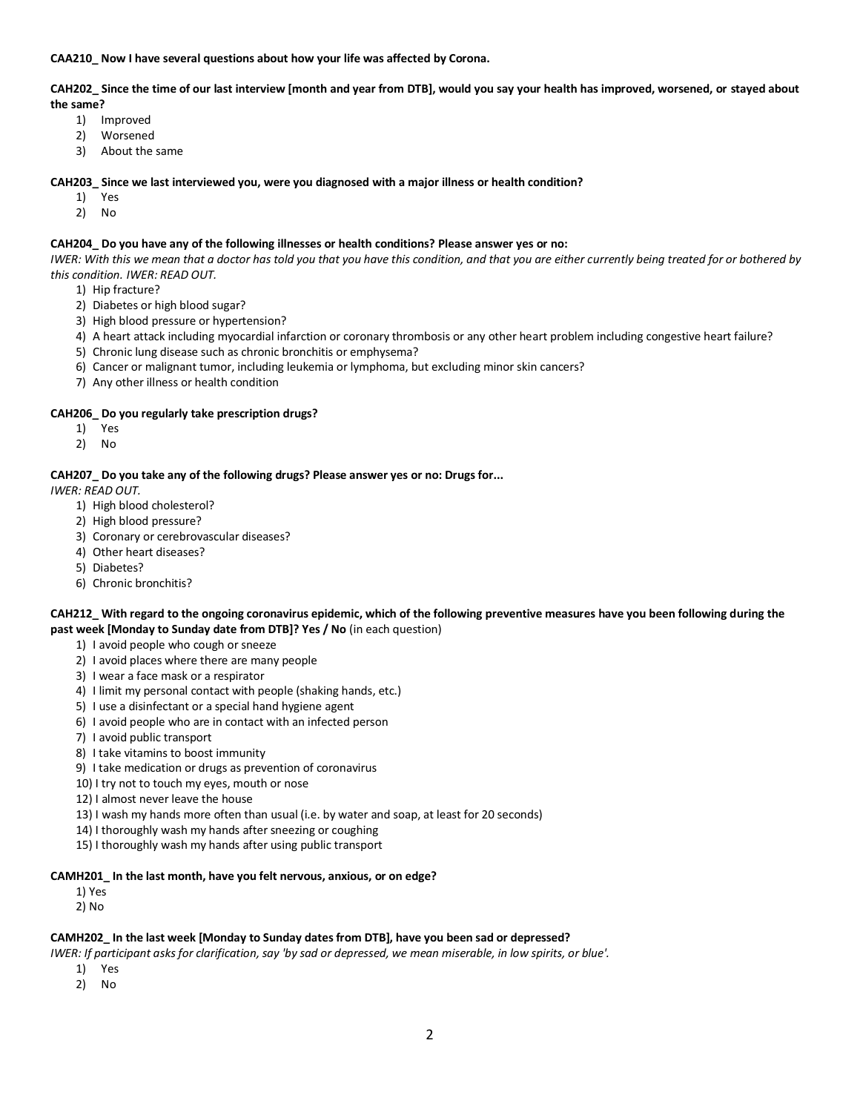**CAA210\_ Now I have several questions about how your life was affected by Corona.**

**CAH202\_ Since the time of our last interview [month and year from DTB], would you say your health has improved, worsened, or stayed about the same?**

- 1) Improved
- 2) Worsened
- 3) About the same

### **CAH203\_ Since we last interviewed you, were you diagnosed with a major illness or health condition?**

- 1) Yes
- 2) No

## **CAH204\_ Do you have any of the following illnesses or health conditions? Please answer yes or no:**

*IWER: With this we mean that a doctor has told you that you have this condition, and that you are either currently being treated for or bothered by this condition. IWER: READ OUT.*

- 1) Hip fracture?
- 2) Diabetes or high blood sugar?
- 3) High blood pressure or hypertension?
- 4) A heart attack including myocardial infarction or coronary thrombosis or any other heart problem including congestive heart failure?
- 5) Chronic lung disease such as chronic bronchitis or emphysema?
- 6) Cancer or malignant tumor, including leukemia or lymphoma, but excluding minor skin cancers?
- 7) Any other illness or health condition

## **CAH206\_ Do you regularly take prescription drugs?**

- 1) Yes
- 2) No

## **CAH207\_ Do you take any of the following drugs? Please answer yes or no: Drugs for...**

*IWER: READ OUT.*

- 1) High blood cholesterol?
- 2) High blood pressure?
- 3) Coronary or cerebrovascular diseases?
- 4) Other heart diseases?
- 5) Diabetes?
- 6) Chronic bronchitis?

## **CAH212\_ With regard to the ongoing coronavirus epidemic, which of the following preventive measures have you been following during the past week [Monday to Sunday date from DTB]? Yes / No** (in each question)

- 1) I avoid people who cough or sneeze
- 2) I avoid places where there are many people
- 3) I wear a face mask or a respirator
- 4) I limit my personal contact with people (shaking hands, etc.)
- 5) I use a disinfectant or a special hand hygiene agent
- 6) I avoid people who are in contact with an infected person
- 7) I avoid public transport
- 8) I take vitamins to boost immunity
- 9) I take medication or drugs as prevention of coronavirus
- 10) I try not to touch my eyes, mouth or nose
- 12) I almost never leave the house
- 13) I wash my hands more often than usual (i.e. by water and soap, at least for 20 seconds)
- 14) I thoroughly wash my hands after sneezing or coughing
- 15) I thoroughly wash my hands after using public transport

#### **CAMH201\_ In the last month, have you felt nervous, anxious, or on edge?**

- 1) Yes
- 2) No

#### **CAMH202\_ In the last week [Monday to Sunday dates from DTB], have you been sad or depressed?**

*IWER: If participant asks for clarification, say 'by sad or depressed, we mean miserable, in low spirits, or blue'.* 

- 1) Yes
- 2) No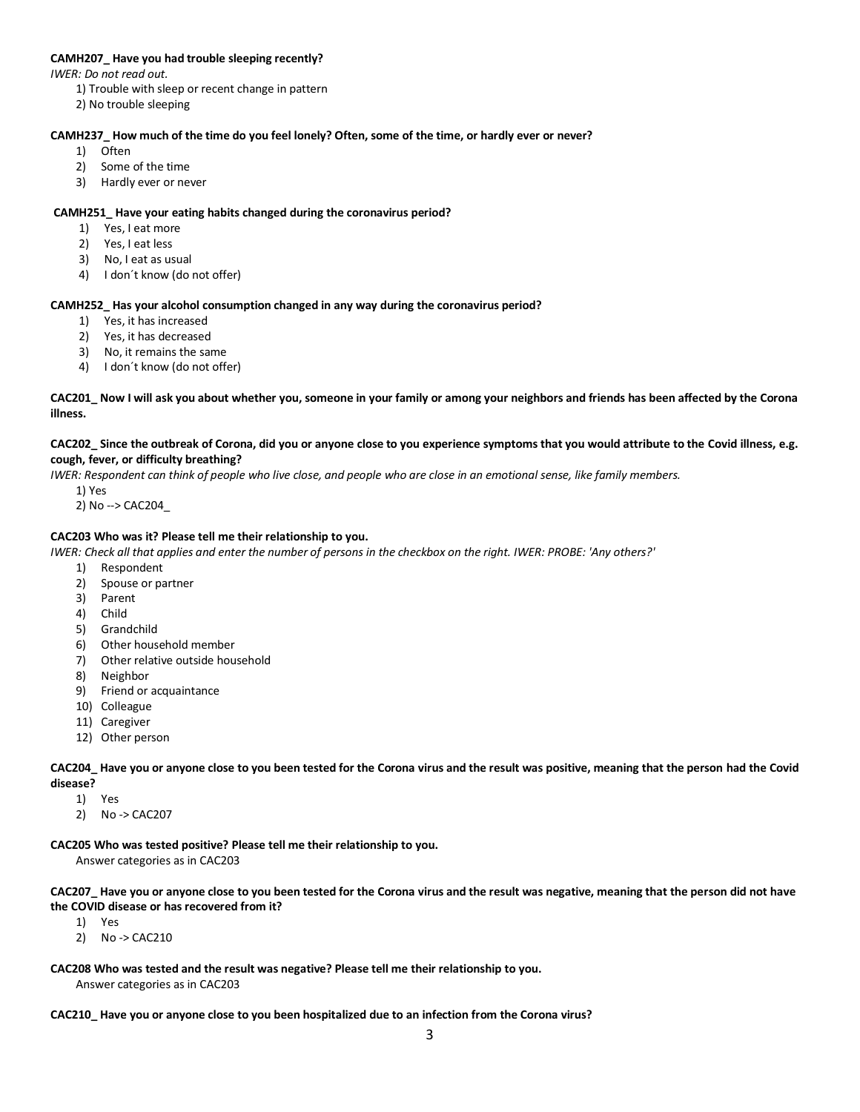## **CAMH207\_ Have you had trouble sleeping recently?**

*IWER: Do not read out.*

- 1) Trouble with sleep or recent change in pattern
- 2) No trouble sleeping

## **CAMH237\_ How much of the time do you feel lonely? Often, some of the time, or hardly ever or never?**

- 1) Often
- 2) Some of the time
- 3) Hardly ever or never

## **CAMH251\_ Have your eating habits changed during the coronavirus period?**

- 1) Yes, I eat more
- 2) Yes, I eat less
- 3) No, I eat as usual
- 4) I don´t know (do not offer)

## **CAMH252\_ Has your alcohol consumption changed in any way during the coronavirus period?**

- 1) Yes, it has increased
- 2) Yes, it has decreased
- 3) No, it remains the same
- 4) I don´t know (do not offer)

## **CAC201\_ Now I will ask you about whether you, someone in your family or among your neighbors and friends has been affected by the Corona illness.**

#### **CAC202\_ Since the outbreak of Corona, did you or anyone close to you experience symptoms that you would attribute to the Covid illness, e.g. cough, fever, or difficulty breathing?**

*IWER: Respondent can think of people who live close, and people who are close in an emotional sense, like family members.* 

- 1) Yes
- 2) No --> CAC204\_

## **CAC203 Who was it? Please tell me their relationship to you.**

- *IWER: Check all that applies and enter the number of persons in the checkbox on the right. IWER: PROBE: 'Any others?'*
	- 1) Respondent
	- 2) Spouse or partner
	- 3) Parent
	- 4) Child
	- 5) Grandchild
	- 6) Other household member
	- 7) Other relative outside household
	- 8) Neighbor
	- 9) Friend or acquaintance
	- 10) Colleague
	- 11) Caregiver
	- 12) Other person

**CAC204\_ Have you or anyone close to you been tested for the Corona virus and the result was positive, meaning that the person had the Covid disease?**

- 1) Yes
- 2) No -> CAC207
- **CAC205 Who was tested positive? Please tell me their relationship to you.**

Answer categories as in CAC203

**CAC207\_ Have you or anyone close to you been tested for the Corona virus and the result was negative, meaning that the person did not have the COVID disease or has recovered from it?**

- 1) Yes
- 2) No -> CAC210

**CAC208 Who was tested and the result was negative? Please tell me their relationship to you.** Answer categories as in CAC203

**CAC210\_ Have you or anyone close to you been hospitalized due to an infection from the Corona virus?**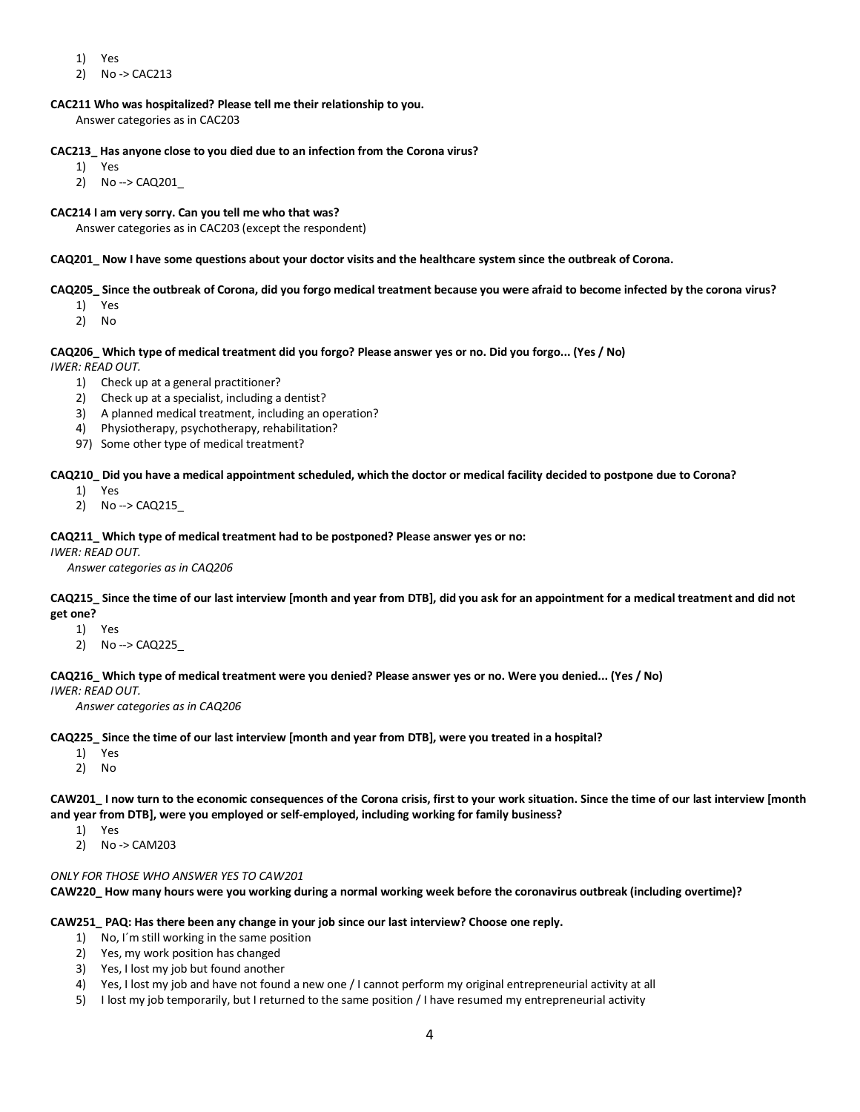- 1) Yes
- 2) No -> CAC213

## **CAC211 Who was hospitalized? Please tell me their relationship to you.**

Answer categories as in CAC203

## **CAC213\_ Has anyone close to you died due to an infection from the Corona virus?**

- 1) Yes
- 2) No --> CAQ201\_

## **CAC214 I am very sorry. Can you tell me who that was?**

Answer categories as in CAC203 (except the respondent)

## **CAQ201\_ Now I have some questions about your doctor visits and the healthcare system since the outbreak of Corona.**

## **CAQ205\_ Since the outbreak of Corona, did you forgo medical treatment because you were afraid to become infected by the corona virus?**

- 1) Yes
- 2) No

## **CAQ206\_ Which type of medical treatment did you forgo? Please answer yes or no. Did you forgo... (Yes / No)**

*IWER: READ OUT.*

- 1) Check up at a general practitioner?
- 2) Check up at a specialist, including a dentist?
- 3) A planned medical treatment, including an operation?
- 4) Physiotherapy, psychotherapy, rehabilitation?
- 97) Some other type of medical treatment?

#### **CAQ210\_ Did you have a medical appointment scheduled, which the doctor or medical facility decided to postpone due to Corona?**

- 1) Yes
- 2) No --> CAQ215\_

## **CAQ211\_ Which type of medical treatment had to be postponed? Please answer yes or no:**

*IWER: READ OUT.*

*Answer categories as in CAQ206*

## **CAQ215\_ Since the time of our last interview [month and year from DTB], did you ask for an appointment for a medical treatment and did not get one?**

- 1) Yes
- 2) No --> CAQ225\_

# **CAQ216\_ Which type of medical treatment were you denied? Please answer yes or no. Were you denied... (Yes / No)**

*IWER: READ OUT.*

*Answer categories as in CAQ206*

## **CAQ225\_ Since the time of our last interview [month and year from DTB], were you treated in a hospital?**

- 1) Yes
- 2) No

**CAW201\_ I now turn to the economic consequences of the Corona crisis, first to your work situation. Since the time of our last interview [month and year from DTB], were you employed or self-employed, including working for family business?**

- 1) Yes
- 2) No -> CAM203

## *ONLY FOR THOSE WHO ANSWER YES TO CAW201*

**CAW220\_ How many hours were you working during a normal working week before the coronavirus outbreak (including overtime)?**

**CAW251\_ PAQ: Has there been any change in your job since our last interview? Choose one reply.**

- 1) No, I´m still working in the same position
- 2) Yes, my work position has changed
- 3) Yes, I lost my job but found another
- 4) Yes, I lost my job and have not found a new one / I cannot perform my original entrepreneurial activity at all
- 5) I lost my job temporarily, but I returned to the same position / I have resumed my entrepreneurial activity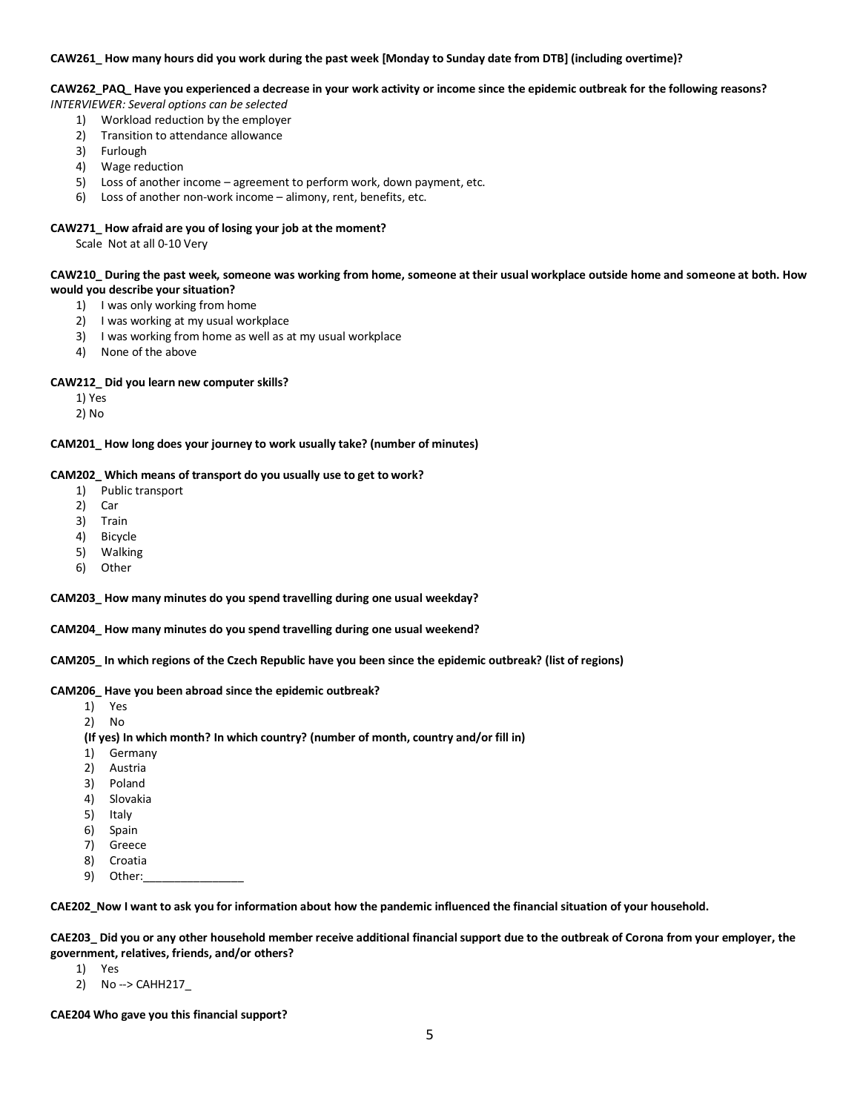#### **CAW261\_ How many hours did you work during the past week [Monday to Sunday date from DTB] (including overtime)?**

## **CAW262\_PAQ\_ Have you experienced a decrease in your work activity or income since the epidemic outbreak for the following reasons?**

- *INTERVIEWER: Several options can be selected*
	- 1) Workload reduction by the employer
	- 2) Transition to attendance allowance
	- 3) Furlough
	- 4) Wage reduction
	- 5) Loss of another income agreement to perform work, down payment, etc.
	- 6) Loss of another non-work income alimony, rent, benefits, etc.

### **CAW271\_ How afraid are you of losing your job at the moment?**

Scale Not at all 0-10 Very

## **CAW210\_ During the past week, someone was working from home, someone at their usual workplace outside home and someone at both. How would you describe your situation?**

- 1) I was only working from home
- 2) I was working at my usual workplace
- 3) I was working from home as well as at my usual workplace
- 4) None of the above

## **CAW212\_ Did you learn new computer skills?**

- 1) Yes
- 2) No

**CAM201\_ How long does your journey to work usually take? (number of minutes)**

## **CAM202\_ Which means of transport do you usually use to get to work?**

- 1) Public transport
- 2) Car
- 3) Train
- 4) Bicycle
- 5) Walking
- 6) Other

**CAM203\_ How many minutes do you spend travelling during one usual weekday?**

**CAM204\_ How many minutes do you spend travelling during one usual weekend?**

**CAM205\_ In which regions of the Czech Republic have you been since the epidemic outbreak? (list of regions)**

#### **CAM206\_ Have you been abroad since the epidemic outbreak?**

- 1) Yes
- 2) No

**(If yes) In which month? In which country? (number of month, country and/or fill in)**

- 1) Germany
- 2) Austria
- 3) Poland
- 4) Slovakia
- 5) Italy
- 6) Spain
- 7) Greece
- 8) Croatia
- 9) Other:

**CAE202\_Now I want to ask you for information about how the pandemic influenced the financial situation of your household.** 

**CAE203\_ Did you or any other household member receive additional financial support due to the outbreak of Corona from your employer, the government, relatives, friends, and/or others?**

- 1) Yes
- 2) No --> CAHH217\_

**CAE204 Who gave you this financial support?**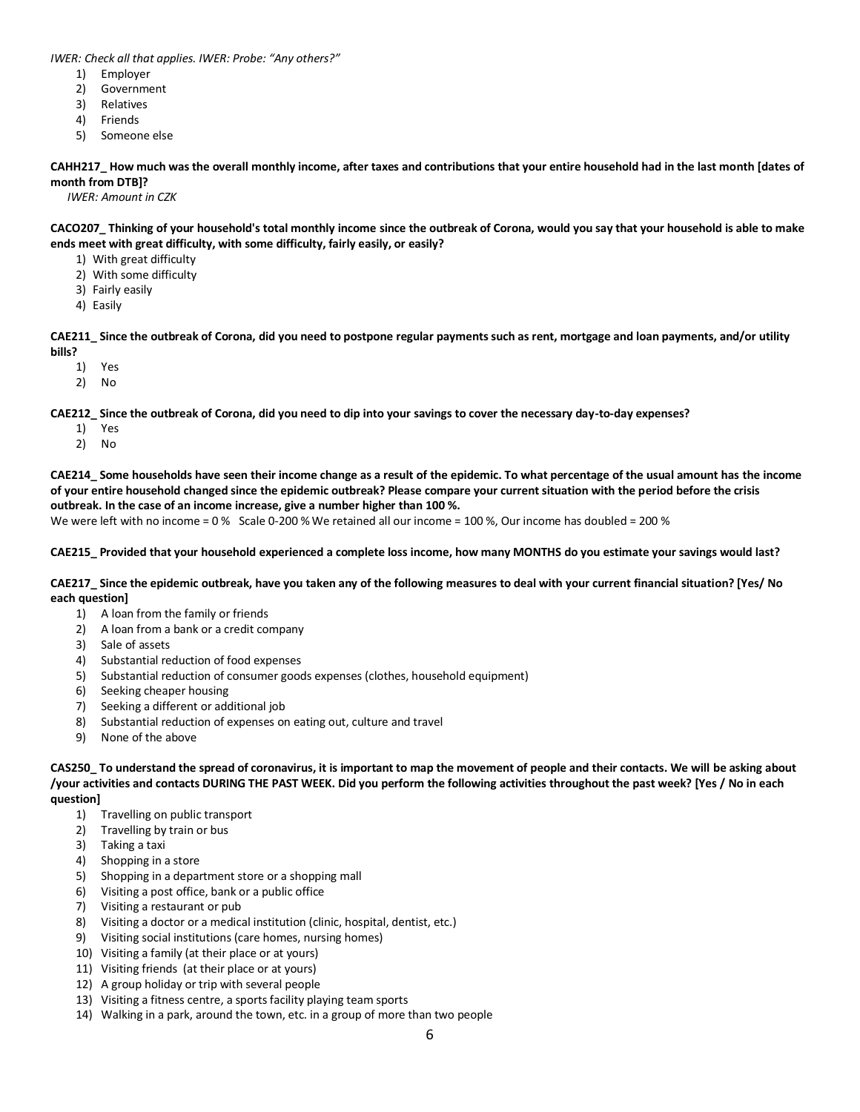*IWER: Check all that applies. IWER: Probe: "Any others?"*

- 1) Employer
- 2) Government
- 3) Relatives
- 4) Friends
- 5) Someone else

**CAHH217\_ How much was the overall monthly income, after taxes and contributions that your entire household had in the last month [dates of month from DTB]?**

*IWER: Amount in CZK*

**CACO207\_ Thinking of your household's total monthly income since the outbreak of Corona, would you say that your household is able to make ends meet with great difficulty, with some difficulty, fairly easily, or easily?**

- 1) With great difficulty
- 2) With some difficulty
- 3) Fairly easily
- 4) Easily

**CAE211\_ Since the outbreak of Corona, did you need to postpone regular payments such as rent, mortgage and loan payments, and/or utility bills?**

- 1) Yes
- 2) No

**CAE212\_ Since the outbreak of Corona, did you need to dip into your savings to cover the necessary day-to-day expenses?**

- 1) Yes
- 2) No

**CAE214\_ Some households have seen their income change as a result of the epidemic. To what percentage of the usual amount has the income of your entire household changed since the epidemic outbreak? Please compare your current situation with the period before the crisis outbreak. In the case of an income increase, give a number higher than 100 %.**

We were left with no income = 0 % Scale 0-200 % We retained all our income = 100 %, Our income has doubled = 200 %

**CAE215\_ Provided that your household experienced a complete loss income, how many MONTHS do you estimate your savings would last?** 

**CAE217\_ Since the epidemic outbreak, have you taken any of the following measures to deal with your current financial situation? [Yes/ No each question]**

- 1) A loan from the family or friends
- 2) A loan from a bank or a credit company
- 3) Sale of assets
- 4) Substantial reduction of food expenses
- 5) Substantial reduction of consumer goods expenses (clothes, household equipment)
- 6) Seeking cheaper housing
- 7) Seeking a different or additional job
- 8) Substantial reduction of expenses on eating out, culture and travel
- 9) None of the above

**CAS250\_ To understand the spread of coronavirus, it is important to map the movement of people and their contacts. We will be asking about /your activities and contacts DURING THE PAST WEEK. Did you perform the following activities throughout the past week? [Yes / No in each question]**

- 1) Travelling on public transport
- 2) Travelling by train or bus
- 3) Taking a taxi
- 4) Shopping in a store
- 5) Shopping in a department store or a shopping mall
- 6) Visiting a post office, bank or a public office
- 7) Visiting a restaurant or pub
- 8) Visiting a doctor or a medical institution (clinic, hospital, dentist, etc.)
- 9) Visiting social institutions (care homes, nursing homes)
- 10) Visiting a family (at their place or at yours)
- 11) Visiting friends (at their place or at yours)
- 12) A group holiday or trip with several people
- 13) Visiting a fitness centre, a sports facility playing team sports
- 14) Walking in a park, around the town, etc. in a group of more than two people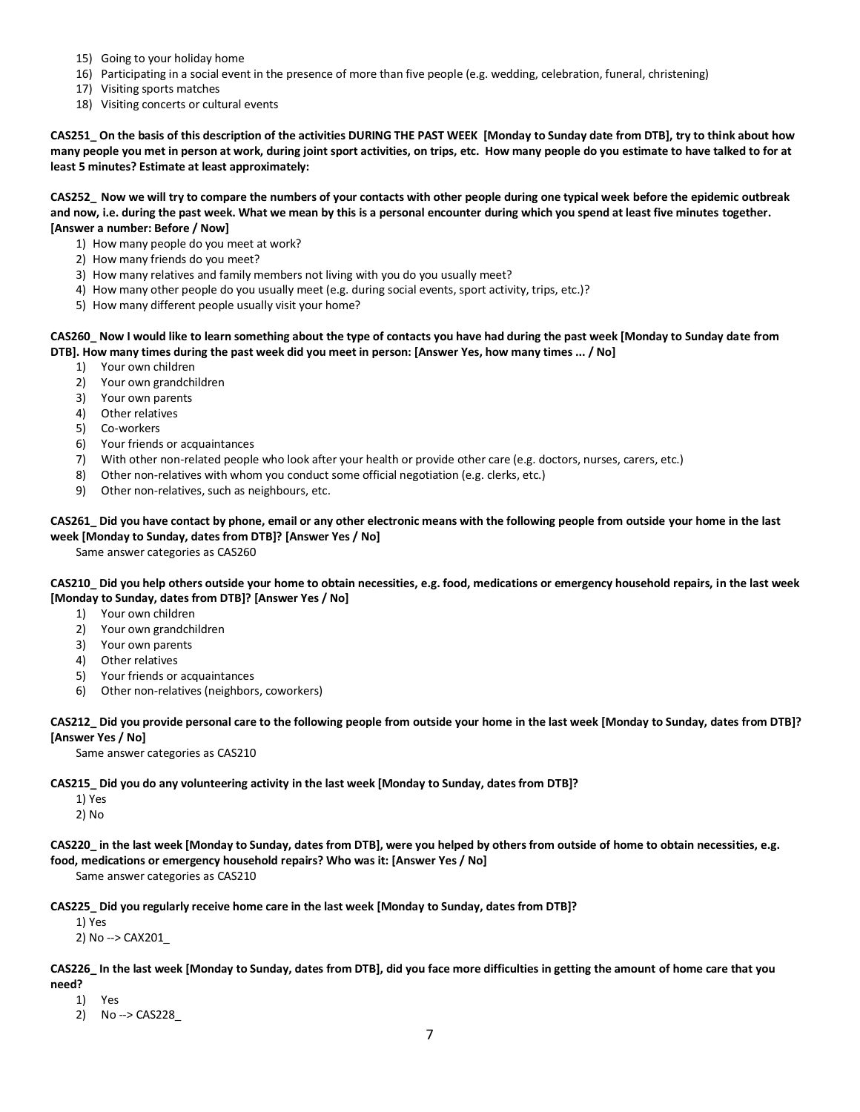- 15) Going to your holiday home
- 16) Participating in a social event in the presence of more than five people (e.g. wedding, celebration, funeral, christening)
- 17) Visiting sports matches
- 18) Visiting concerts or cultural events

**CAS251\_ On the basis of this description of the activities DURING THE PAST WEEK [Monday to Sunday date from DTB], try to think about how many people you met in person at work, during joint sport activities, on trips, etc. How many people do you estimate to have talked to for at least 5 minutes? Estimate at least approximately:**

**CAS252\_ Now we will try to compare the numbers of your contacts with other people during one typical week before the epidemic outbreak and now, i.e. during the past week. What we mean by this is a personal encounter during which you spend at least five minutes together. [Answer a number: Before / Now]**

- 1) How many people do you meet at work?
- 2) How many friends do you meet?
- 3) How many relatives and family members not living with you do you usually meet?
- 4) How many other people do you usually meet (e.g. during social events, sport activity, trips, etc.)?
- 5) How many different people usually visit your home?

## **CAS260\_ Now I would like to learn something about the type of contacts you have had during the past week [Monday to Sunday date from DTB]. How many times during the past week did you meet in person: [Answer Yes, how many times ... / No]**

- 1) Your own children
- 2) Your own grandchildren
- 3) Your own parents
- 4) Other relatives
- 5) Co-workers
- 6) Your friends or acquaintances
- 7) With other non-related people who look after your health or provide other care (e.g. doctors, nurses, carers, etc.)
- 8) Other non-relatives with whom you conduct some official negotiation (e.g. clerks, etc.)
- 9) Other non-relatives, such as neighbours, etc.

## **CAS261\_ Did you have contact by phone, email or any other electronic means with the following people from outside your home in the last week [Monday to Sunday, dates from DTB]? [Answer Yes / No]**

Same answer categories as CAS260

**CAS210\_ Did you help others outside your home to obtain necessities, e.g. food, medications or emergency household repairs, in the last week [Monday to Sunday, dates from DTB]? [Answer Yes / No]**

- 1) Your own children
- 2) Your own grandchildren
- 3) Your own parents
- 4) Other relatives
- 5) Your friends or acquaintances
- 6) Other non-relatives (neighbors, coworkers)

## **CAS212\_ Did you provide personal care to the following people from outside your home in the last week [Monday to Sunday, dates from DTB]? [Answer Yes / No]**

Same answer categories as CAS210

## **CAS215\_ Did you do any volunteering activity in the last week [Monday to Sunday, dates from DTB]?**

- 1) Yes
- 2) No
- **CAS220\_ in the last week [Monday to Sunday, dates from DTB], were you helped by others from outside of home to obtain necessities, e.g. food, medications or emergency household repairs? Who was it: [Answer Yes / No]**

Same answer categories as CAS210

**CAS225\_ Did you regularly receive home care in the last week [Monday to Sunday, dates from DTB]?**

1) Yes 2) No --> CAX201\_

## **CAS226\_ In the last week [Monday to Sunday, dates from DTB], did you face more difficulties in getting the amount of home care that you need?**

1) Yes

2) No --> CAS228\_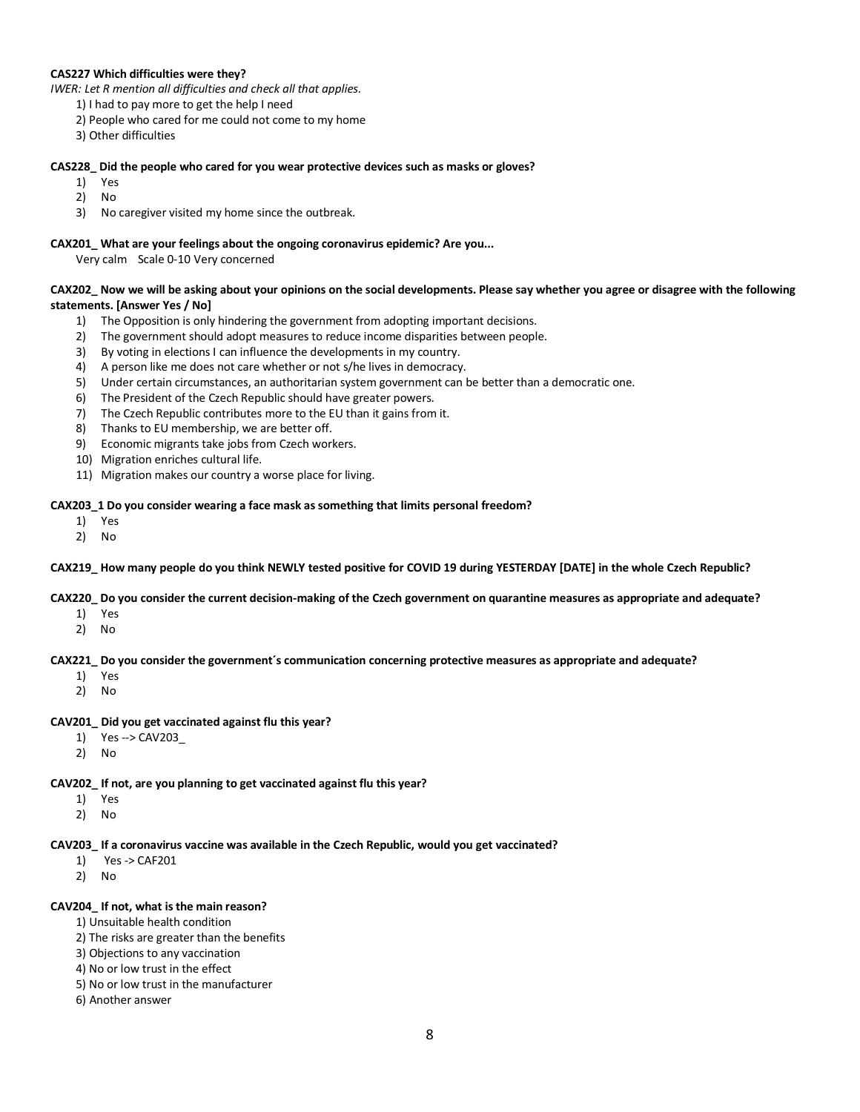## **CAS227 Which difficulties were they?**

- *IWER: Let R mention all difficulties and check all that applies.*
	- 1) I had to pay more to get the help I need
	- 2) People who cared for me could not come to my home
	- 3) Other difficulties

### **CAS228\_ Did the people who cared for you wear protective devices such as masks or gloves?**

- 1) Yes
- 2) No
- 3) No caregiver visited my home since the outbreak.

## **CAX201\_ What are your feelings about the ongoing coronavirus epidemic? Are you...**

Very calm Scale 0-10 Very concerned

## **CAX202\_ Now we will be asking about your opinions on the social developments. Please say whether you agree or disagree with the following statements. [Answer Yes / No]**

- 1) The Opposition is only hindering the government from adopting important decisions.
- 2) The government should adopt measures to reduce income disparities between people.
- 3) By voting in elections I can influence the developments in my country.
- 4) A person like me does not care whether or not s/he lives in democracy.
- 5) Under certain circumstances, an authoritarian system government can be better than a democratic one.
- 6) The President of the Czech Republic should have greater powers.
- 7) The Czech Republic contributes more to the EU than it gains from it.
- 8) Thanks to EU membership, we are better off.
- 9) Economic migrants take jobs from Czech workers.
- 10) Migration enriches cultural life.
- 11) Migration makes our country a worse place for living.

## **CAX203\_1 Do you consider wearing a face mask as something that limits personal freedom?**

- 1) Yes
- 2) No

## **CAX219\_ How many people do you think NEWLY tested positive for COVID 19 during YESTERDAY [DATE] in the whole Czech Republic?**

## **CAX220\_ Do you consider the current decision-making of the Czech government on quarantine measures as appropriate and adequate?**

- 1) Yes
- 2) No

#### **CAX221\_ Do you consider the government´s communication concerning protective measures as appropriate and adequate?**

- 1) Yes
- 2) No

#### **CAV201\_ Did you get vaccinated against flu this year?**

- 1) Yes --> CAV203\_
- 2) No

#### **CAV202\_ If not, are you planning to get vaccinated against flu this year?**

- 1) Yes
- 2) No

#### **CAV203\_ If a coronavirus vaccine was available in the Czech Republic, would you get vaccinated?**

- 1) Yes -> CAF201
- 2) No

#### **CAV204\_ If not, what is the main reason?**

- 1) Unsuitable health condition
- 2) The risks are greater than the benefits
- 3) Objections to any vaccination
- 4) No or low trust in the effect
- 5) No or low trust in the manufacturer
- 6) Another answer